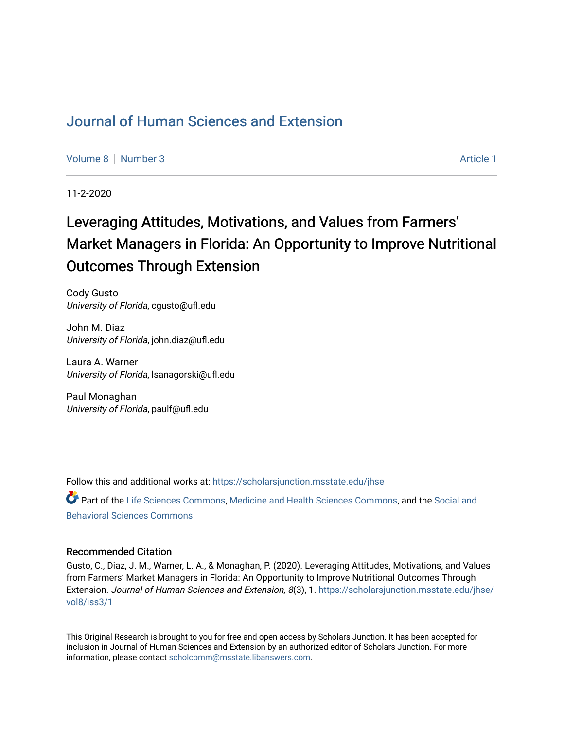## [Journal of Human Sciences and Extension](https://scholarsjunction.msstate.edu/jhse)

[Volume 8](https://scholarsjunction.msstate.edu/jhse/vol8) [Number 3](https://scholarsjunction.msstate.edu/jhse/vol8/iss3) Article 1

11-2-2020

# Leveraging Attitudes, Motivations, and Values from Farmers' Market Managers in Florida: An Opportunity to Improve Nutritional Outcomes Through Extension

Cody Gusto University of Florida, cgusto@ufl.edu

John M. Diaz University of Florida, john.diaz@ufl.edu

Laura A. Warner University of Florida, lsanagorski@ufl.edu

Paul Monaghan University of Florida, paulf@ufl.edu

Follow this and additional works at: [https://scholarsjunction.msstate.edu/jhse](https://scholarsjunction.msstate.edu/jhse?utm_source=scholarsjunction.msstate.edu%2Fjhse%2Fvol8%2Fiss3%2F1&utm_medium=PDF&utm_campaign=PDFCoverPages)

Part of the [Life Sciences Commons,](http://network.bepress.com/hgg/discipline/1016?utm_source=scholarsjunction.msstate.edu%2Fjhse%2Fvol8%2Fiss3%2F1&utm_medium=PDF&utm_campaign=PDFCoverPages) [Medicine and Health Sciences Commons,](http://network.bepress.com/hgg/discipline/648?utm_source=scholarsjunction.msstate.edu%2Fjhse%2Fvol8%2Fiss3%2F1&utm_medium=PDF&utm_campaign=PDFCoverPages) and the [Social and](http://network.bepress.com/hgg/discipline/316?utm_source=scholarsjunction.msstate.edu%2Fjhse%2Fvol8%2Fiss3%2F1&utm_medium=PDF&utm_campaign=PDFCoverPages)  [Behavioral Sciences Commons](http://network.bepress.com/hgg/discipline/316?utm_source=scholarsjunction.msstate.edu%2Fjhse%2Fvol8%2Fiss3%2F1&utm_medium=PDF&utm_campaign=PDFCoverPages) 

#### Recommended Citation

Gusto, C., Diaz, J. M., Warner, L. A., & Monaghan, P. (2020). Leveraging Attitudes, Motivations, and Values from Farmers' Market Managers in Florida: An Opportunity to Improve Nutritional Outcomes Through Extension. Journal of Human Sciences and Extension, 8(3), 1. [https://scholarsjunction.msstate.edu/jhse/](https://scholarsjunction.msstate.edu/jhse/vol8/iss3/1?utm_source=scholarsjunction.msstate.edu%2Fjhse%2Fvol8%2Fiss3%2F1&utm_medium=PDF&utm_campaign=PDFCoverPages) [vol8/iss3/1](https://scholarsjunction.msstate.edu/jhse/vol8/iss3/1?utm_source=scholarsjunction.msstate.edu%2Fjhse%2Fvol8%2Fiss3%2F1&utm_medium=PDF&utm_campaign=PDFCoverPages) 

This Original Research is brought to you for free and open access by Scholars Junction. It has been accepted for inclusion in Journal of Human Sciences and Extension by an authorized editor of Scholars Junction. For more information, please contact [scholcomm@msstate.libanswers.com](mailto:scholcomm@msstate.libanswers.com).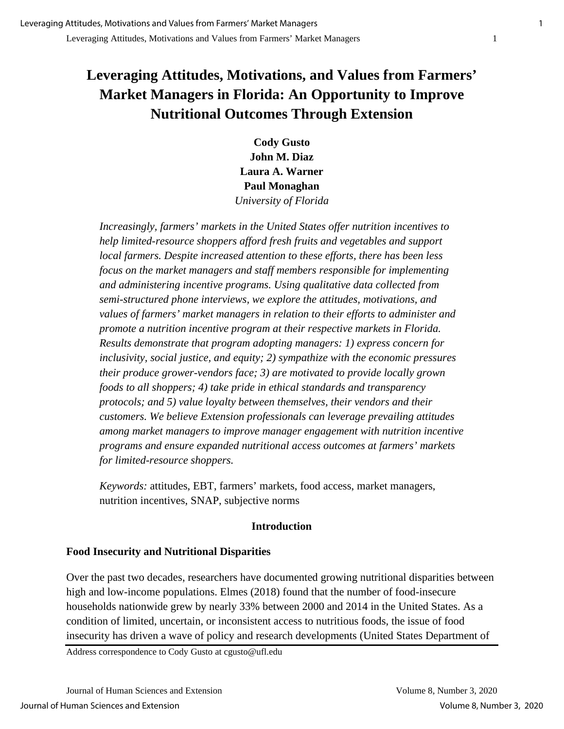## **Leveraging Attitudes, Motivations, and Values from Farmers' Market Managers in Florida: An Opportunity to Improve Nutritional Outcomes Through Extension**

**Cody Gusto John M. Diaz Laura A. Warner Paul Monaghan** *University of Florida*

*Increasingly, farmers' markets in the United States offer nutrition incentives to help limited-resource shoppers afford fresh fruits and vegetables and support local farmers. Despite increased attention to these efforts, there has been less focus on the market managers and staff members responsible for implementing and administering incentive programs. Using qualitative data collected from semi-structured phone interviews, we explore the attitudes, motivations, and values of farmers' market managers in relation to their efforts to administer and promote a nutrition incentive program at their respective markets in Florida. Results demonstrate that program adopting managers: 1) express concern for inclusivity, social justice, and equity; 2) sympathize with the economic pressures their produce grower-vendors face; 3) are motivated to provide locally grown foods to all shoppers; 4) take pride in ethical standards and transparency protocols; and 5) value loyalty between themselves, their vendors and their customers. We believe Extension professionals can leverage prevailing attitudes among market managers to improve manager engagement with nutrition incentive programs and ensure expanded nutritional access outcomes at farmers' markets for limited-resource shoppers.*

*Keywords:* attitudes, EBT, farmers' markets, food access, market managers, nutrition incentives, SNAP, subjective norms

## **Introduction**

## **Food Insecurity and Nutritional Disparities**

Over the past two decades, researchers have documented growing nutritional disparities between high and low-income populations. Elmes (2018) found that the number of food-insecure households nationwide grew by nearly 33% between 2000 and 2014 in the United States. As a condition of limited, uncertain, or inconsistent access to nutritious foods, the issue of food insecurity has driven a wave of policy and research developments (United States Department of

Address correspondence to Cody Gusto at cgusto@ufl.edu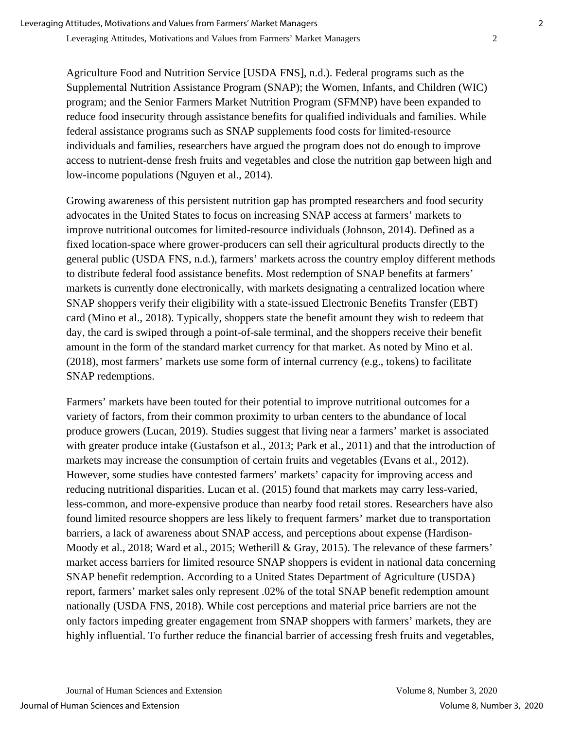Agriculture Food and Nutrition Service [USDA FNS], n.d.). Federal programs such as the Supplemental Nutrition Assistance Program (SNAP); the Women, Infants, and Children (WIC) program; and the Senior Farmers Market Nutrition Program (SFMNP) have been expanded to reduce food insecurity through assistance benefits for qualified individuals and families. While federal assistance programs such as SNAP supplements food costs for limited-resource individuals and families, researchers have argued the program does not do enough to improve access to nutrient-dense fresh fruits and vegetables and close the nutrition gap between high and low-income populations (Nguyen et al., 2014).

Growing awareness of this persistent nutrition gap has prompted researchers and food security advocates in the United States to focus on increasing SNAP access at farmers' markets to improve nutritional outcomes for limited-resource individuals (Johnson, 2014). Defined as a fixed location-space where grower-producers can sell their agricultural products directly to the general public (USDA FNS, n.d.), farmers' markets across the country employ different methods to distribute federal food assistance benefits. Most redemption of SNAP benefits at farmers' markets is currently done electronically, with markets designating a centralized location where SNAP shoppers verify their eligibility with a state-issued Electronic Benefits Transfer (EBT) card (Mino et al., 2018). Typically, shoppers state the benefit amount they wish to redeem that day, the card is swiped through a point-of-sale terminal, and the shoppers receive their benefit amount in the form of the standard market currency for that market. As noted by Mino et al. (2018), most farmers' markets use some form of internal currency (e.g., tokens) to facilitate SNAP redemptions.

Farmers' markets have been touted for their potential to improve nutritional outcomes for a variety of factors, from their common proximity to urban centers to the abundance of local produce growers (Lucan, 2019). Studies suggest that living near a farmers' market is associated with greater produce intake (Gustafson et al., 2013; Park et al., 2011) and that the introduction of markets may increase the consumption of certain fruits and vegetables (Evans et al., 2012). However, some studies have contested farmers' markets' capacity for improving access and reducing nutritional disparities. Lucan et al. (2015) found that markets may carry less-varied, less-common, and more-expensive produce than nearby food retail stores. Researchers have also found limited resource shoppers are less likely to frequent farmers' market due to transportation barriers, a lack of awareness about SNAP access, and perceptions about expense (Hardison-Moody et al., 2018; Ward et al., 2015; Wetherill & Gray, 2015). The relevance of these farmers' market access barriers for limited resource SNAP shoppers is evident in national data concerning SNAP benefit redemption. According to a United States Department of Agriculture (USDA) report, farmers' market sales only represent .02% of the total SNAP benefit redemption amount nationally (USDA FNS, 2018). While cost perceptions and material price barriers are not the only factors impeding greater engagement from SNAP shoppers with farmers' markets, they are highly influential. To further reduce the financial barrier of accessing fresh fruits and vegetables,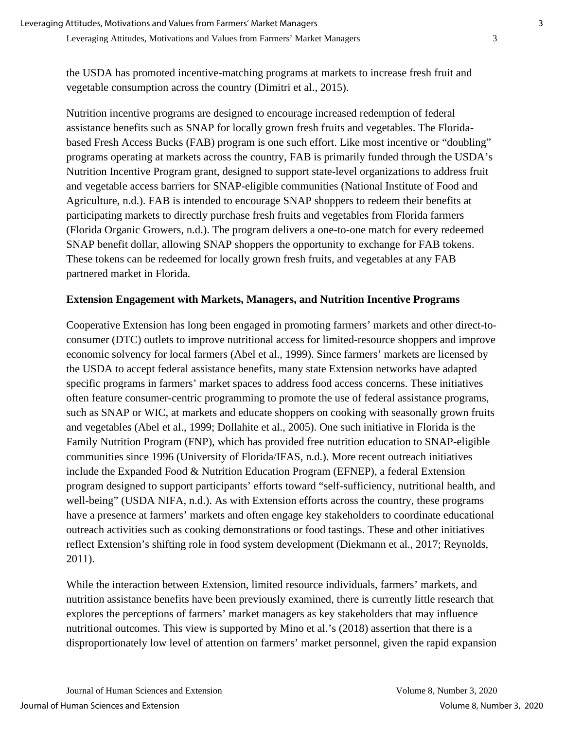the USDA has promoted incentive-matching programs at markets to increase fresh fruit and vegetable consumption across the country (Dimitri et al., 2015).

Nutrition incentive programs are designed to encourage increased redemption of federal assistance benefits such as SNAP for locally grown fresh fruits and vegetables. The Floridabased Fresh Access Bucks (FAB) program is one such effort. Like most incentive or "doubling" programs operating at markets across the country, FAB is primarily funded through the USDA's Nutrition Incentive Program grant, designed to support state-level organizations to address fruit and vegetable access barriers for SNAP-eligible communities (National Institute of Food and Agriculture, n.d.). FAB is intended to encourage SNAP shoppers to redeem their benefits at participating markets to directly purchase fresh fruits and vegetables from Florida farmers (Florida Organic Growers, n.d.). The program delivers a one-to-one match for every redeemed SNAP benefit dollar, allowing SNAP shoppers the opportunity to exchange for FAB tokens. These tokens can be redeemed for locally grown fresh fruits, and vegetables at any FAB partnered market in Florida.

#### **Extension Engagement with Markets, Managers, and Nutrition Incentive Programs**

Cooperative Extension has long been engaged in promoting farmers' markets and other direct-toconsumer (DTC) outlets to improve nutritional access for limited-resource shoppers and improve economic solvency for local farmers (Abel et al., 1999). Since farmers' markets are licensed by the USDA to accept federal assistance benefits, many state Extension networks have adapted specific programs in farmers' market spaces to address food access concerns. These initiatives often feature consumer-centric programming to promote the use of federal assistance programs, such as SNAP or WIC, at markets and educate shoppers on cooking with seasonally grown fruits and vegetables (Abel et al., 1999; Dollahite et al., 2005). One such initiative in Florida is the Family Nutrition Program (FNP), which has provided free nutrition education to SNAP-eligible communities since 1996 (University of Florida/IFAS, n.d.). More recent outreach initiatives include the Expanded Food & Nutrition Education Program (EFNEP), a federal Extension program designed to support participants' efforts toward "self-sufficiency, nutritional health, and well-being" (USDA NIFA, n.d.). As with Extension efforts across the country, these programs have a presence at farmers' markets and often engage key stakeholders to coordinate educational outreach activities such as cooking demonstrations or food tastings. These and other initiatives reflect Extension's shifting role in food system development (Diekmann et al., 2017; Reynolds, 2011).

While the interaction between Extension, limited resource individuals, farmers' markets, and nutrition assistance benefits have been previously examined, there is currently little research that explores the perceptions of farmers' market managers as key stakeholders that may influence nutritional outcomes. This view is supported by Mino et al.'s (2018) assertion that there is a disproportionately low level of attention on farmers' market personnel, given the rapid expansion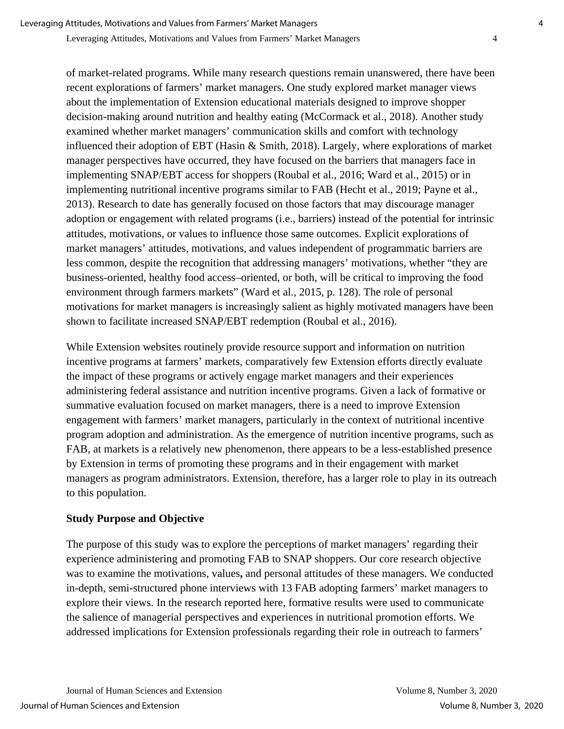of market-related programs. While many research questions remain unanswered, there have been recent explorations of farmers' market managers. One study explored market manager views about the implementation of Extension educational materials designed to improve shopper decision-making around nutrition and healthy eating (McCormack et al., 2018). Another study examined whether market managers' communication skills and comfort with technology influenced their adoption of EBT (Hasin & Smith, 2018). Largely, where explorations of market manager perspectives have occurred, they have focused on the barriers that managers face in implementing SNAP/EBT access for shoppers (Roubal et al., 2016; Ward et al., 2015) or in implementing nutritional incentive programs similar to FAB (Hecht et al., 2019; Payne et al., 2013). Research to date has generally focused on those factors that may discourage manager adoption or engagement with related programs (i.e., barriers) instead of the potential for intrinsic attitudes, motivations, or values to influence those same outcomes. Explicit explorations of market managers' attitudes, motivations, and values independent of programmatic barriers are less common, despite the recognition that addressing managers' motivations, whether "they are business-oriented, healthy food access–oriented, or both, will be critical to improving the food environment through farmers markets" (Ward et al., 2015, p. 128). The role of personal motivations for market managers is increasingly salient as highly motivated managers have been shown to facilitate increased SNAP/EBT redemption (Roubal et al., 2016).

While Extension websites routinely provide resource support and information on nutrition incentive programs at farmers' markets, comparatively few Extension efforts directly evaluate the impact of these programs or actively engage market managers and their experiences administering federal assistance and nutrition incentive programs. Given a lack of formative or summative evaluation focused on market managers, there is a need to improve Extension engagement with farmers' market managers, particularly in the context of nutritional incentive program adoption and administration. As the emergence of nutrition incentive programs, such as FAB, at markets is a relatively new phenomenon, there appears to be a less-established presence by Extension in terms of promoting these programs and in their engagement with market managers as program administrators. Extension, therefore, has a larger role to play in its outreach to this population.

## **Study Purpose and Objective**

The purpose of this study was to explore the perceptions of market managers' regarding their experience administering and promoting FAB to SNAP shoppers. Our core research objective was to examine the motivations, values**,** and personal attitudes of these managers. We conducted in-depth, semi-structured phone interviews with 13 FAB adopting farmers' market managers to explore their views. In the research reported here, formative results were used to communicate the salience of managerial perspectives and experiences in nutritional promotion efforts. We addressed implications for Extension professionals regarding their role in outreach to farmers'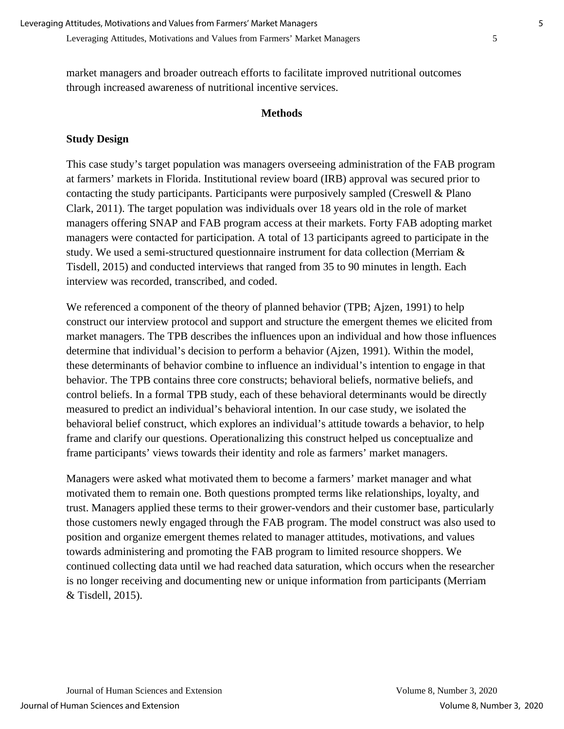market managers and broader outreach efforts to facilitate improved nutritional outcomes through increased awareness of nutritional incentive services.

#### **Methods**

#### **Study Design**

This case study's target population was managers overseeing administration of the FAB program at farmers' markets in Florida. Institutional review board (IRB) approval was secured prior to contacting the study participants. Participants were purposively sampled (Creswell & Plano Clark, 2011). The target population was individuals over 18 years old in the role of market managers offering SNAP and FAB program access at their markets. Forty FAB adopting market managers were contacted for participation. A total of 13 participants agreed to participate in the study. We used a semi-structured questionnaire instrument for data collection (Merriam & Tisdell, 2015) and conducted interviews that ranged from 35 to 90 minutes in length. Each interview was recorded, transcribed, and coded.

We referenced a component of the theory of planned behavior (TPB; Ajzen, 1991) to help construct our interview protocol and support and structure the emergent themes we elicited from market managers. The TPB describes the influences upon an individual and how those influences determine that individual's decision to perform a behavior (Ajzen, 1991). Within the model, these determinants of behavior combine to influence an individual's intention to engage in that behavior. The TPB contains three core constructs; behavioral beliefs, normative beliefs, and control beliefs. In a formal TPB study, each of these behavioral determinants would be directly measured to predict an individual's behavioral intention. In our case study, we isolated the behavioral belief construct, which explores an individual's attitude towards a behavior, to help frame and clarify our questions. Operationalizing this construct helped us conceptualize and frame participants' views towards their identity and role as farmers' market managers.

Managers were asked what motivated them to become a farmers' market manager and what motivated them to remain one. Both questions prompted terms like relationships, loyalty, and trust. Managers applied these terms to their grower-vendors and their customer base, particularly those customers newly engaged through the FAB program. The model construct was also used to position and organize emergent themes related to manager attitudes, motivations, and values towards administering and promoting the FAB program to limited resource shoppers. We continued collecting data until we had reached data saturation, which occurs when the researcher is no longer receiving and documenting new or unique information from participants (Merriam & Tisdell, 2015).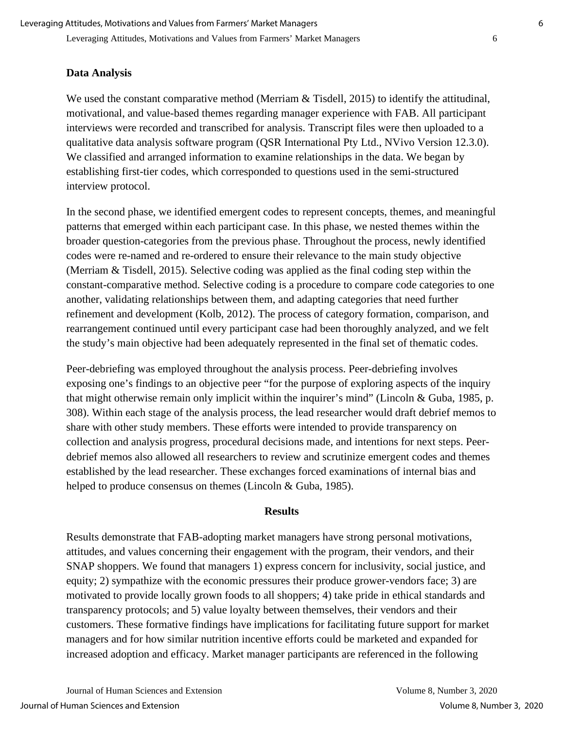### **Data Analysis**

We used the constant comparative method (Merriam & Tisdell, 2015) to identify the attitudinal, motivational, and value-based themes regarding manager experience with FAB. All participant interviews were recorded and transcribed for analysis. Transcript files were then uploaded to a qualitative data analysis software program (QSR International Pty Ltd., NVivo Version 12.3.0). We classified and arranged information to examine relationships in the data. We began by establishing first-tier codes, which corresponded to questions used in the semi-structured interview protocol.

In the second phase, we identified emergent codes to represent concepts, themes, and meaningful patterns that emerged within each participant case. In this phase, we nested themes within the broader question-categories from the previous phase. Throughout the process, newly identified codes were re-named and re-ordered to ensure their relevance to the main study objective (Merriam & Tisdell, 2015). Selective coding was applied as the final coding step within the constant-comparative method. Selective coding is a procedure to compare code categories to one another, validating relationships between them, and adapting categories that need further refinement and development (Kolb, 2012). The process of category formation, comparison, and rearrangement continued until every participant case had been thoroughly analyzed, and we felt the study's main objective had been adequately represented in the final set of thematic codes.

Peer-debriefing was employed throughout the analysis process. Peer-debriefing involves exposing one's findings to an objective peer "for the purpose of exploring aspects of the inquiry that might otherwise remain only implicit within the inquirer's mind" (Lincoln & Guba, 1985, p. 308). Within each stage of the analysis process, the lead researcher would draft debrief memos to share with other study members. These efforts were intended to provide transparency on collection and analysis progress, procedural decisions made, and intentions for next steps. Peerdebrief memos also allowed all researchers to review and scrutinize emergent codes and themes established by the lead researcher. These exchanges forced examinations of internal bias and helped to produce consensus on themes (Lincoln & Guba, 1985).

#### **Results**

Results demonstrate that FAB-adopting market managers have strong personal motivations, attitudes, and values concerning their engagement with the program, their vendors, and their SNAP shoppers. We found that managers 1) express concern for inclusivity, social justice, and equity; 2) sympathize with the economic pressures their produce grower-vendors face; 3) are motivated to provide locally grown foods to all shoppers; 4) take pride in ethical standards and transparency protocols; and 5) value loyalty between themselves, their vendors and their customers. These formative findings have implications for facilitating future support for market managers and for how similar nutrition incentive efforts could be marketed and expanded for increased adoption and efficacy. Market manager participants are referenced in the following

Journal of Human Sciences and Extension Volume 8, Number 3, 2020 Journal of Human Sciences and Extension Volume 8, Number 3, 2020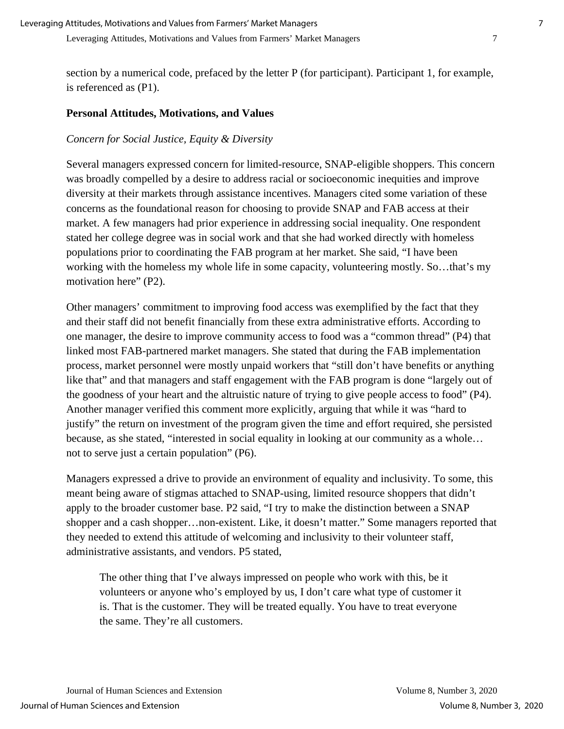section by a numerical code, prefaced by the letter P (for participant). Participant 1, for example, is referenced as (P1).

#### **Personal Attitudes, Motivations, and Values**

#### *Concern for Social Justice, Equity & Diversity*

Several managers expressed concern for limited-resource, SNAP-eligible shoppers. This concern was broadly compelled by a desire to address racial or socioeconomic inequities and improve diversity at their markets through assistance incentives. Managers cited some variation of these concerns as the foundational reason for choosing to provide SNAP and FAB access at their market. A few managers had prior experience in addressing social inequality. One respondent stated her college degree was in social work and that she had worked directly with homeless populations prior to coordinating the FAB program at her market. She said, "I have been working with the homeless my whole life in some capacity, volunteering mostly. So…that's my motivation here" (P2).

Other managers' commitment to improving food access was exemplified by the fact that they and their staff did not benefit financially from these extra administrative efforts. According to one manager, the desire to improve community access to food was a "common thread" (P4) that linked most FAB-partnered market managers. She stated that during the FAB implementation process, market personnel were mostly unpaid workers that "still don't have benefits or anything like that" and that managers and staff engagement with the FAB program is done "largely out of the goodness of your heart and the altruistic nature of trying to give people access to food" (P4). Another manager verified this comment more explicitly, arguing that while it was "hard to justify" the return on investment of the program given the time and effort required, she persisted because, as she stated, "interested in social equality in looking at our community as a whole… not to serve just a certain population" (P6).

Managers expressed a drive to provide an environment of equality and inclusivity. To some, this meant being aware of stigmas attached to SNAP-using, limited resource shoppers that didn't apply to the broader customer base. P2 said, "I try to make the distinction between a SNAP shopper and a cash shopper…non-existent. Like, it doesn't matter." Some managers reported that they needed to extend this attitude of welcoming and inclusivity to their volunteer staff, administrative assistants, and vendors. P5 stated,

The other thing that I've always impressed on people who work with this, be it volunteers or anyone who's employed by us, I don't care what type of customer it is. That is the customer. They will be treated equally. You have to treat everyone the same. They're all customers.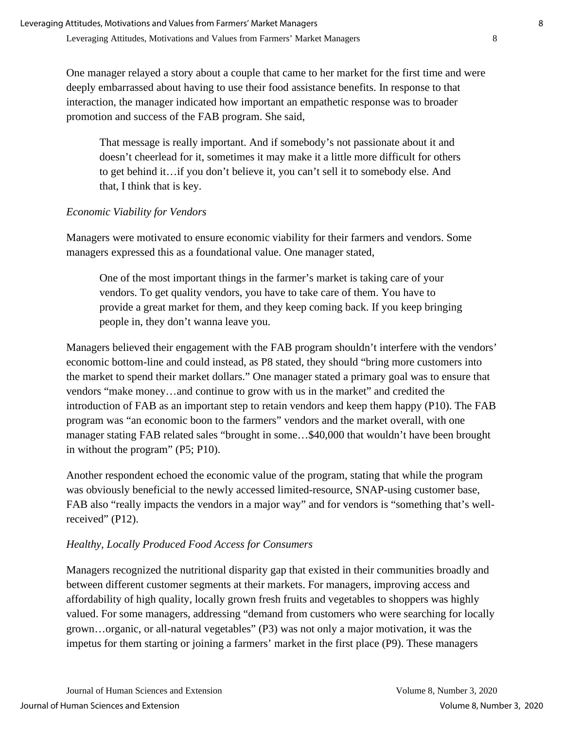One manager relayed a story about a couple that came to her market for the first time and were deeply embarrassed about having to use their food assistance benefits. In response to that interaction, the manager indicated how important an empathetic response was to broader promotion and success of the FAB program. She said,

That message is really important. And if somebody's not passionate about it and doesn't cheerlead for it, sometimes it may make it a little more difficult for others to get behind it…if you don't believe it, you can't sell it to somebody else. And that, I think that is key.

## *Economic Viability for Vendors*

Managers were motivated to ensure economic viability for their farmers and vendors. Some managers expressed this as a foundational value. One manager stated,

One of the most important things in the farmer's market is taking care of your vendors. To get quality vendors, you have to take care of them. You have to provide a great market for them, and they keep coming back. If you keep bringing people in, they don't wanna leave you.

Managers believed their engagement with the FAB program shouldn't interfere with the vendors' economic bottom-line and could instead, as P8 stated, they should "bring more customers into the market to spend their market dollars." One manager stated a primary goal was to ensure that vendors "make money…and continue to grow with us in the market" and credited the introduction of FAB as an important step to retain vendors and keep them happy (P10). The FAB program was "an economic boon to the farmers" vendors and the market overall, with one manager stating FAB related sales "brought in some…\$40,000 that wouldn't have been brought in without the program" (P5; P10).

Another respondent echoed the economic value of the program, stating that while the program was obviously beneficial to the newly accessed limited-resource, SNAP-using customer base, FAB also "really impacts the vendors in a major way" and for vendors is "something that's wellreceived" (P12).

## *Healthy, Locally Produced Food Access for Consumers*

Managers recognized the nutritional disparity gap that existed in their communities broadly and between different customer segments at their markets. For managers, improving access and affordability of high quality, locally grown fresh fruits and vegetables to shoppers was highly valued. For some managers, addressing "demand from customers who were searching for locally grown…organic, or all-natural vegetables" (P3) was not only a major motivation, it was the impetus for them starting or joining a farmers' market in the first place (P9). These managers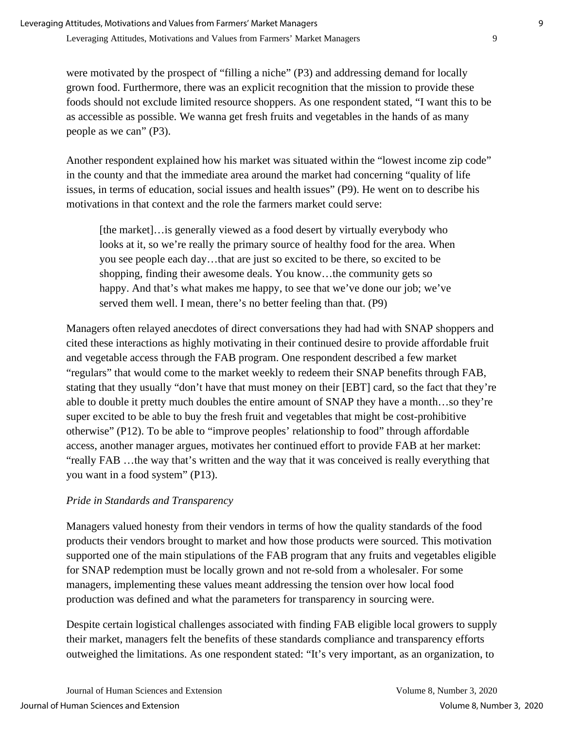were motivated by the prospect of "filling a niche" (P3) and addressing demand for locally grown food. Furthermore, there was an explicit recognition that the mission to provide these foods should not exclude limited resource shoppers. As one respondent stated, "I want this to be as accessible as possible. We wanna get fresh fruits and vegetables in the hands of as many people as we can" (P3).

Another respondent explained how his market was situated within the "lowest income zip code" in the county and that the immediate area around the market had concerning "quality of life issues, in terms of education, social issues and health issues" (P9). He went on to describe his motivations in that context and the role the farmers market could serve:

[the market]…is generally viewed as a food desert by virtually everybody who looks at it, so we're really the primary source of healthy food for the area. When you see people each day…that are just so excited to be there, so excited to be shopping, finding their awesome deals. You know…the community gets so happy. And that's what makes me happy, to see that we've done our job; we've served them well. I mean, there's no better feeling than that. (P9)

Managers often relayed anecdotes of direct conversations they had had with SNAP shoppers and cited these interactions as highly motivating in their continued desire to provide affordable fruit and vegetable access through the FAB program. One respondent described a few market "regulars" that would come to the market weekly to redeem their SNAP benefits through FAB, stating that they usually "don't have that must money on their [EBT] card, so the fact that they're able to double it pretty much doubles the entire amount of SNAP they have a month…so they're super excited to be able to buy the fresh fruit and vegetables that might be cost-prohibitive otherwise" (P12). To be able to "improve peoples' relationship to food" through affordable access, another manager argues, motivates her continued effort to provide FAB at her market: "really FAB …the way that's written and the way that it was conceived is really everything that you want in a food system" (P13).

## *Pride in Standards and Transparency*

Managers valued honesty from their vendors in terms of how the quality standards of the food products their vendors brought to market and how those products were sourced. This motivation supported one of the main stipulations of the FAB program that any fruits and vegetables eligible for SNAP redemption must be locally grown and not re-sold from a wholesaler. For some managers, implementing these values meant addressing the tension over how local food production was defined and what the parameters for transparency in sourcing were.

Despite certain logistical challenges associated with finding FAB eligible local growers to supply their market, managers felt the benefits of these standards compliance and transparency efforts outweighed the limitations. As one respondent stated: "It's very important, as an organization, to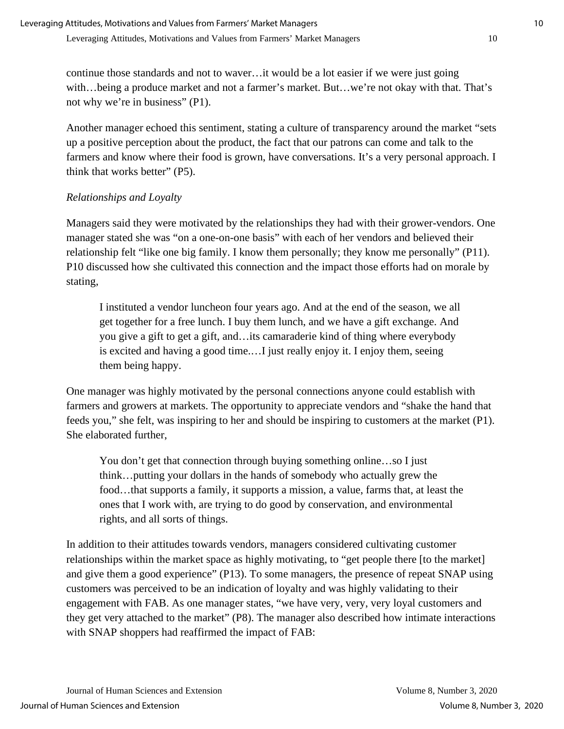continue those standards and not to waver…it would be a lot easier if we were just going with…being a produce market and not a farmer's market. But…we're not okay with that. That's not why we're in business" (P1).

Another manager echoed this sentiment, stating a culture of transparency around the market "sets up a positive perception about the product, the fact that our patrons can come and talk to the farmers and know where their food is grown, have conversations. It's a very personal approach. I think that works better" (P5).

## *Relationships and Loyalty*

Managers said they were motivated by the relationships they had with their grower-vendors. One manager stated she was "on a one-on-one basis" with each of her vendors and believed their relationship felt "like one big family. I know them personally; they know me personally" (P11). P10 discussed how she cultivated this connection and the impact those efforts had on morale by stating,

I instituted a vendor luncheon four years ago. And at the end of the season, we all get together for a free lunch. I buy them lunch, and we have a gift exchange. And you give a gift to get a gift, and…its camaraderie kind of thing where everybody is excited and having a good time.…I just really enjoy it. I enjoy them, seeing them being happy.

One manager was highly motivated by the personal connections anyone could establish with farmers and growers at markets. The opportunity to appreciate vendors and "shake the hand that feeds you," she felt, was inspiring to her and should be inspiring to customers at the market (P1). She elaborated further,

You don't get that connection through buying something online...so I just think…putting your dollars in the hands of somebody who actually grew the food…that supports a family, it supports a mission, a value, farms that, at least the ones that I work with, are trying to do good by conservation, and environmental rights, and all sorts of things.

In addition to their attitudes towards vendors, managers considered cultivating customer relationships within the market space as highly motivating, to "get people there [to the market] and give them a good experience" (P13). To some managers, the presence of repeat SNAP using customers was perceived to be an indication of loyalty and was highly validating to their engagement with FAB. As one manager states, "we have very, very, very loyal customers and they get very attached to the market" (P8). The manager also described how intimate interactions with SNAP shoppers had reaffirmed the impact of FAB: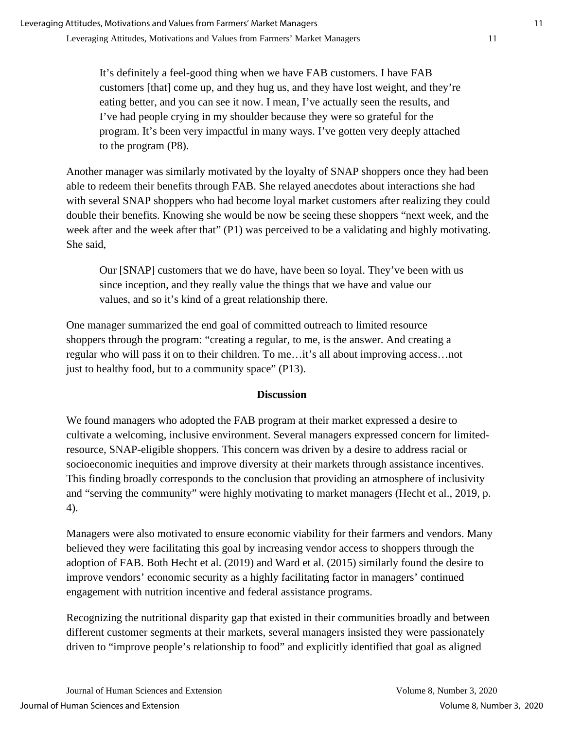It's definitely a feel-good thing when we have FAB customers. I have FAB customers [that] come up, and they hug us, and they have lost weight, and they're eating better, and you can see it now. I mean, I've actually seen the results, and I've had people crying in my shoulder because they were so grateful for the program. It's been very impactful in many ways. I've gotten very deeply attached to the program (P8).

Another manager was similarly motivated by the loyalty of SNAP shoppers once they had been able to redeem their benefits through FAB. She relayed anecdotes about interactions she had with several SNAP shoppers who had become loyal market customers after realizing they could double their benefits. Knowing she would be now be seeing these shoppers "next week, and the week after and the week after that" (P1) was perceived to be a validating and highly motivating. She said,

Our [SNAP] customers that we do have, have been so loyal. They've been with us since inception, and they really value the things that we have and value our values, and so it's kind of a great relationship there.

One manager summarized the end goal of committed outreach to limited resource shoppers through the program: "creating a regular, to me, is the answer. And creating a regular who will pass it on to their children. To me…it's all about improving access…not just to healthy food, but to a community space" (P13).

## **Discussion**

We found managers who adopted the FAB program at their market expressed a desire to cultivate a welcoming, inclusive environment. Several managers expressed concern for limitedresource, SNAP-eligible shoppers. This concern was driven by a desire to address racial or socioeconomic inequities and improve diversity at their markets through assistance incentives. This finding broadly corresponds to the conclusion that providing an atmosphere of inclusivity and "serving the community" were highly motivating to market managers (Hecht et al., 2019, p. 4).

Managers were also motivated to ensure economic viability for their farmers and vendors. Many believed they were facilitating this goal by increasing vendor access to shoppers through the adoption of FAB. Both Hecht et al. (2019) and Ward et al. (2015) similarly found the desire to improve vendors' economic security as a highly facilitating factor in managers' continued engagement with nutrition incentive and federal assistance programs.

Recognizing the nutritional disparity gap that existed in their communities broadly and between different customer segments at their markets, several managers insisted they were passionately driven to "improve people's relationship to food" and explicitly identified that goal as aligned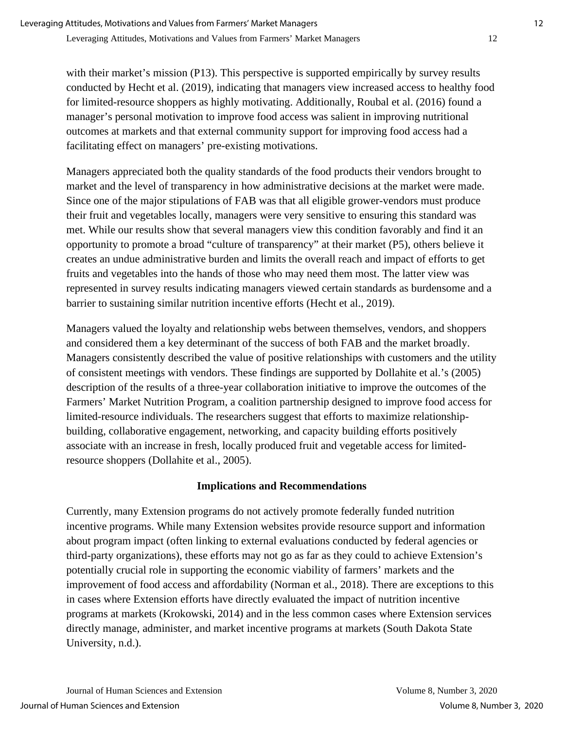with their market's mission (P13). This perspective is supported empirically by survey results conducted by Hecht et al. (2019), indicating that managers view increased access to healthy food for limited-resource shoppers as highly motivating. Additionally, Roubal et al. (2016) found a manager's personal motivation to improve food access was salient in improving nutritional outcomes at markets and that external community support for improving food access had a facilitating effect on managers' pre-existing motivations.

Managers appreciated both the quality standards of the food products their vendors brought to market and the level of transparency in how administrative decisions at the market were made. Since one of the major stipulations of FAB was that all eligible grower-vendors must produce their fruit and vegetables locally, managers were very sensitive to ensuring this standard was met. While our results show that several managers view this condition favorably and find it an opportunity to promote a broad "culture of transparency" at their market (P5), others believe it creates an undue administrative burden and limits the overall reach and impact of efforts to get fruits and vegetables into the hands of those who may need them most. The latter view was represented in survey results indicating managers viewed certain standards as burdensome and a barrier to sustaining similar nutrition incentive efforts (Hecht et al., 2019).

Managers valued the loyalty and relationship webs between themselves, vendors, and shoppers and considered them a key determinant of the success of both FAB and the market broadly. Managers consistently described the value of positive relationships with customers and the utility of consistent meetings with vendors. These findings are supported by Dollahite et al.'s (2005) description of the results of a three-year collaboration initiative to improve the outcomes of the Farmers' Market Nutrition Program, a coalition partnership designed to improve food access for limited-resource individuals. The researchers suggest that efforts to maximize relationshipbuilding, collaborative engagement, networking, and capacity building efforts positively associate with an increase in fresh, locally produced fruit and vegetable access for limitedresource shoppers (Dollahite et al., 2005).

## **Implications and Recommendations**

Currently, many Extension programs do not actively promote federally funded nutrition incentive programs. While many Extension websites provide resource support and information about program impact (often linking to external evaluations conducted by federal agencies or third-party organizations), these efforts may not go as far as they could to achieve Extension's potentially crucial role in supporting the economic viability of farmers' markets and the improvement of food access and affordability (Norman et al., 2018). There are exceptions to this in cases where Extension efforts have directly evaluated the impact of nutrition incentive programs at markets (Krokowski, 2014) and in the less common cases where Extension services directly manage, administer, and market incentive programs at markets (South Dakota State University, n.d.).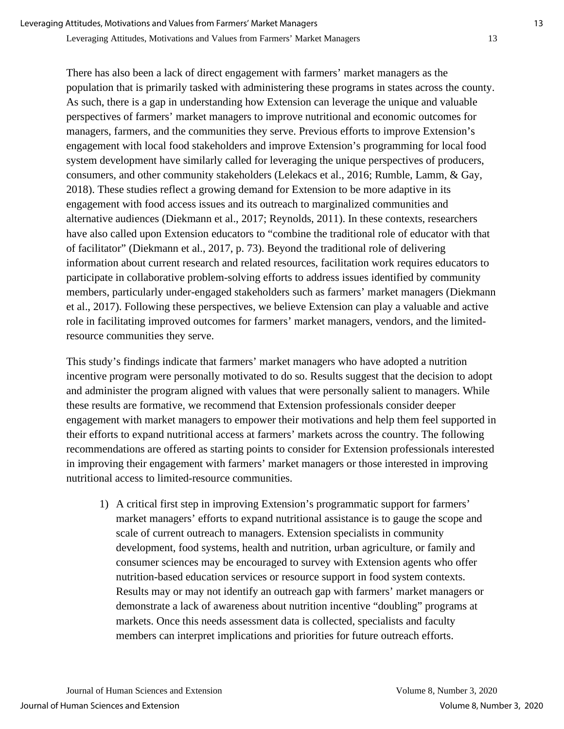There has also been a lack of direct engagement with farmers' market managers as the population that is primarily tasked with administering these programs in states across the county. As such, there is a gap in understanding how Extension can leverage the unique and valuable perspectives of farmers' market managers to improve nutritional and economic outcomes for managers, farmers, and the communities they serve. Previous efforts to improve Extension's engagement with local food stakeholders and improve Extension's programming for local food system development have similarly called for leveraging the unique perspectives of producers, consumers, and other community stakeholders (Lelekacs et al., 2016; Rumble, Lamm, & Gay, 2018). These studies reflect a growing demand for Extension to be more adaptive in its engagement with food access issues and its outreach to marginalized communities and alternative audiences (Diekmann et al., 2017; Reynolds, 2011). In these contexts, researchers have also called upon Extension educators to "combine the traditional role of educator with that of facilitator" (Diekmann et al., 2017, p. 73). Beyond the traditional role of delivering information about current research and related resources, facilitation work requires educators to participate in collaborative problem-solving efforts to address issues identified by community members, particularly under-engaged stakeholders such as farmers' market managers (Diekmann et al., 2017). Following these perspectives, we believe Extension can play a valuable and active role in facilitating improved outcomes for farmers' market managers, vendors, and the limitedresource communities they serve.

This study's findings indicate that farmers' market managers who have adopted a nutrition incentive program were personally motivated to do so. Results suggest that the decision to adopt and administer the program aligned with values that were personally salient to managers. While these results are formative, we recommend that Extension professionals consider deeper engagement with market managers to empower their motivations and help them feel supported in their efforts to expand nutritional access at farmers' markets across the country. The following recommendations are offered as starting points to consider for Extension professionals interested in improving their engagement with farmers' market managers or those interested in improving nutritional access to limited-resource communities.

1) A critical first step in improving Extension's programmatic support for farmers' market managers' efforts to expand nutritional assistance is to gauge the scope and scale of current outreach to managers. Extension specialists in community development, food systems, health and nutrition, urban agriculture, or family and consumer sciences may be encouraged to survey with Extension agents who offer nutrition-based education services or resource support in food system contexts. Results may or may not identify an outreach gap with farmers' market managers or demonstrate a lack of awareness about nutrition incentive "doubling" programs at markets. Once this needs assessment data is collected, specialists and faculty members can interpret implications and priorities for future outreach efforts.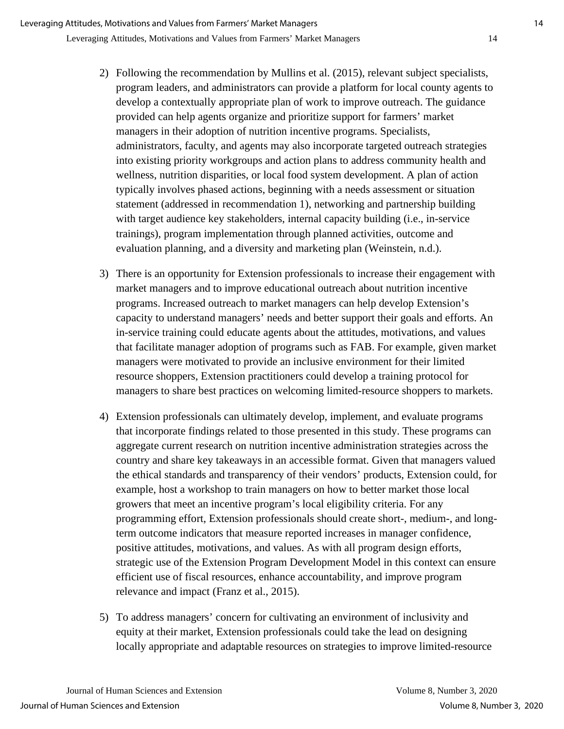- 2) Following the recommendation by Mullins et al. (2015), relevant subject specialists, program leaders, and administrators can provide a platform for local county agents to develop a contextually appropriate plan of work to improve outreach. The guidance provided can help agents organize and prioritize support for farmers' market managers in their adoption of nutrition incentive programs. Specialists, administrators, faculty, and agents may also incorporate targeted outreach strategies into existing priority workgroups and action plans to address community health and wellness, nutrition disparities, or local food system development. A plan of action typically involves phased actions, beginning with a needs assessment or situation statement (addressed in recommendation 1), networking and partnership building with target audience key stakeholders, internal capacity building (i.e., in-service trainings), program implementation through planned activities, outcome and evaluation planning, and a diversity and marketing plan (Weinstein, n.d.).
- 3) There is an opportunity for Extension professionals to increase their engagement with market managers and to improve educational outreach about nutrition incentive programs. Increased outreach to market managers can help develop Extension's capacity to understand managers' needs and better support their goals and efforts. An in-service training could educate agents about the attitudes, motivations, and values that facilitate manager adoption of programs such as FAB. For example, given market managers were motivated to provide an inclusive environment for their limited resource shoppers, Extension practitioners could develop a training protocol for managers to share best practices on welcoming limited-resource shoppers to markets.
- 4) Extension professionals can ultimately develop, implement, and evaluate programs that incorporate findings related to those presented in this study. These programs can aggregate current research on nutrition incentive administration strategies across the country and share key takeaways in an accessible format. Given that managers valued the ethical standards and transparency of their vendors' products, Extension could, for example, host a workshop to train managers on how to better market those local growers that meet an incentive program's local eligibility criteria. For any programming effort, Extension professionals should create short-, medium-, and longterm outcome indicators that measure reported increases in manager confidence, positive attitudes, motivations, and values. As with all program design efforts, strategic use of the Extension Program Development Model in this context can ensure efficient use of fiscal resources, enhance accountability, and improve program relevance and impact (Franz et al., 2015).
- 5) To address managers' concern for cultivating an environment of inclusivity and equity at their market, Extension professionals could take the lead on designing locally appropriate and adaptable resources on strategies to improve limited-resource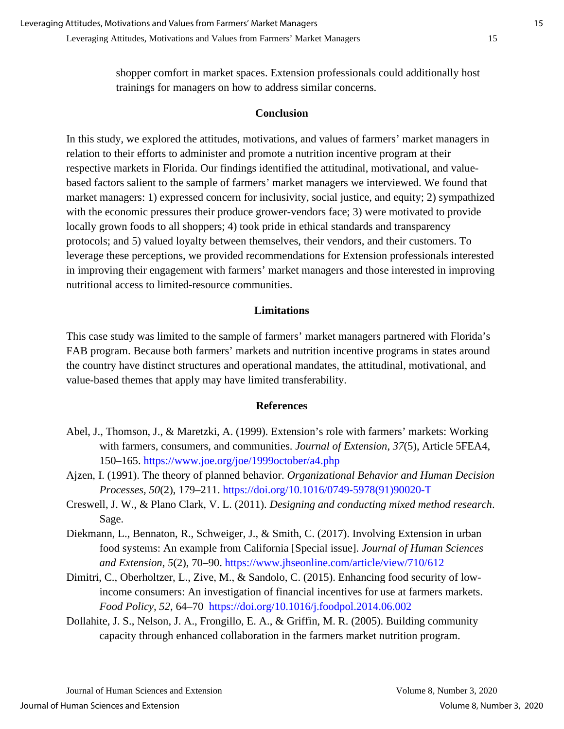shopper comfort in market spaces. Extension professionals could additionally host trainings for managers on how to address similar concerns.

#### **Conclusion**

In this study, we explored the attitudes, motivations, and values of farmers' market managers in relation to their efforts to administer and promote a nutrition incentive program at their respective markets in Florida. Our findings identified the attitudinal, motivational, and valuebased factors salient to the sample of farmers' market managers we interviewed. We found that market managers: 1) expressed concern for inclusivity, social justice, and equity; 2) sympathized with the economic pressures their produce grower-vendors face; 3) were motivated to provide locally grown foods to all shoppers; 4) took pride in ethical standards and transparency protocols; and 5) valued loyalty between themselves, their vendors, and their customers. To leverage these perceptions, we provided recommendations for Extension professionals interested in improving their engagement with farmers' market managers and those interested in improving nutritional access to limited-resource communities.

#### **Limitations**

This case study was limited to the sample of farmers' market managers partnered with Florida's FAB program. Because both farmers' markets and nutrition incentive programs in states around the country have distinct structures and operational mandates, the attitudinal, motivational, and value-based themes that apply may have limited transferability.

#### **References**

- Abel, J., Thomson, J., & Maretzki, A. (1999). Extension's role with farmers' markets: Working with farmers, consumers, and communities. *Journal of Extension*, *37*(5), Article 5FEA4, 150–165.<https://www.joe.org/joe/1999october/a4.php>
- Ajzen, I. (1991). The theory of planned behavior. *Organizational Behavior and Human Decision Processes, 50*(2), 179–211. [https://doi.org/10.1016/0749-5978\(91\)90020-T](https://doi.org/10.1016/0749-5978(91)90020-T)
- Creswell, J. W., & Plano Clark, V. L. (2011). *Designing and conducting mixed method research*. Sage.
- Diekmann, L., Bennaton, R., Schweiger, J., & Smith, C. (2017). Involving Extension in urban food systems: An example from California [Special issue]. *Journal of Human Sciences and Extension*, *5*(2), 70–90.<https://www.jhseonline.com/article/view/710/612>
- Dimitri, C., Oberholtzer, L., Zive, M., & Sandolo, C. (2015). Enhancing food security of lowincome consumers: An investigation of financial incentives for use at farmers markets. *Food Policy, 52*, 64–70 <https://doi.org/10.1016/j.foodpol.2014.06.002>
- Dollahite, J. S., Nelson, J. A., Frongillo, E. A., & Griffin, M. R. (2005). Building community capacity through enhanced collaboration in the farmers market nutrition program.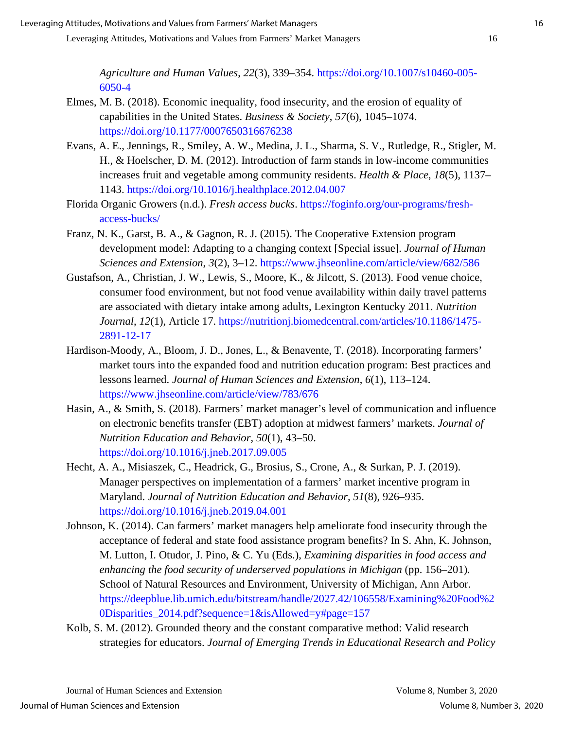*Agriculture and Human Values*, *22*(3), 339–354. [https://doi.org/10.1007/s10460-005-](https://doi.org/10.1007/s10460-005-6050-4) [6050-4](https://doi.org/10.1007/s10460-005-6050-4)

- Elmes, M. B. (2018). Economic inequality, food insecurity, and the erosion of equality of capabilities in the United States. *Business & Society*, *57*(6), 1045–1074. <https://doi.org/10.1177/0007650316676238>
- Evans, A. E., Jennings, R., Smiley, A. W., Medina, J. L., Sharma, S. V., Rutledge, R., Stigler, M. H., & Hoelscher, D. M. (2012). Introduction of farm stands in low-income communities increases fruit and vegetable among community residents. *Health & Place*, *18*(5), 1137– 1143.<https://doi.org/10.1016/j.healthplace.2012.04.007>
- Florida Organic Growers (n.d.). *Fresh access bucks*. [https://foginfo.org/our-programs/fresh](https://foginfo.org/our-programs/fresh-access-bucks/)[access-bucks/](https://foginfo.org/our-programs/fresh-access-bucks/)
- Franz, N. K., Garst, B. A., & Gagnon, R. J. (2015). The Cooperative Extension program development model: Adapting to a changing context [Special issue]. *Journal of Human Sciences and Extension*, *3*(2), 3–12.<https://www.jhseonline.com/article/view/682/586>
- Gustafson, A., Christian, J. W., Lewis, S., Moore, K., & Jilcott, S. (2013). Food venue choice, consumer food environment, but not food venue availability within daily travel patterns are associated with dietary intake among adults, Lexington Kentucky 2011. *Nutrition Journal*, *12*(1), Article 17. [https://nutritionj.biomedcentral.com/articles/10.1186/1475-](https://nutritionj.biomedcentral.com/articles/10.1186/1475-2891-12-17) [2891-12-17](https://nutritionj.biomedcentral.com/articles/10.1186/1475-2891-12-17)
- Hardison-Moody, A., Bloom, J. D., Jones, L., & Benavente, T. (2018). Incorporating farmers' market tours into the expanded food and nutrition education program: Best practices and lessons learned. *Journal of Human Sciences and Extension*, *6*(1), 113–124. <https://www.jhseonline.com/article/view/783/676>
- Hasin, A., & Smith, S. (2018). Farmers' market manager's level of communication and influence on electronic benefits transfer (EBT) adoption at midwest farmers' markets. *Journal of Nutrition Education and Behavior*, *50*(1), 43–50. <https://doi.org/10.1016/j.jneb.2017.09.005>
- Hecht, A. A., Misiaszek, C., Headrick, G., Brosius, S., Crone, A., & Surkan, P. J. (2019). Manager perspectives on implementation of a farmers' market incentive program in Maryland. *Journal of Nutrition Education and Behavior, 51*(8), 926–935. <https://doi.org/10.1016/j.jneb.2019.04.001>
- Johnson, K. (2014). Can farmers' market managers help ameliorate food insecurity through the acceptance of federal and state food assistance program benefits? In S. Ahn, K. Johnson, M. Lutton, I. Otudor, J. Pino, & C. Yu (Eds.), *Examining disparities in food access and enhancing the food security of underserved populations in Michigan (pp. 156–201).* School of Natural Resources and Environment, University of Michigan, Ann Arbor. [https://deepblue.lib.umich.edu/bitstream/handle/2027.42/106558/Examining%20Food%2](https://deepblue.lib.umich.edu/bitstream/handle/2027.42/106558/Examining%20Food%20Disparities_2014.pdf?sequence=1&isAllowed=y#page=157) 0Disparities  $2014.$ pdf?sequence=1&isAllowed=y#page=157
- Kolb, S. M. (2012). Grounded theory and the constant comparative method: Valid research strategies for educators. *Journal of Emerging Trends in Educational Research and Policy*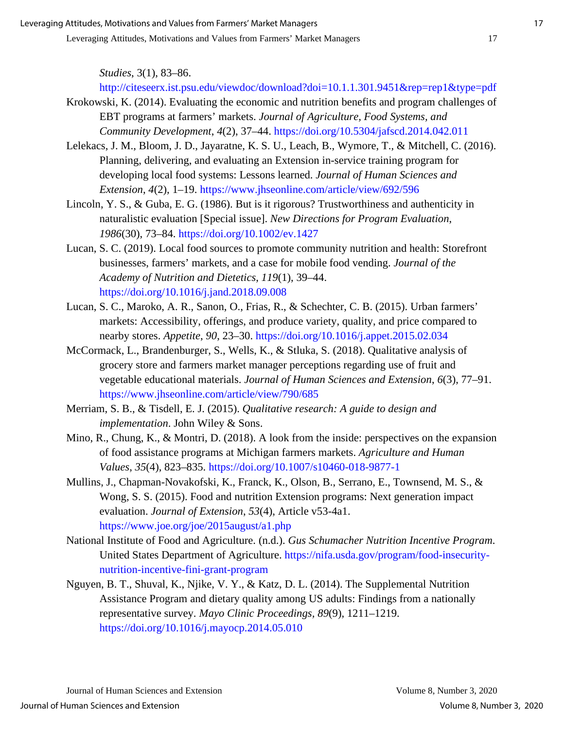*Studies*, 3(1), 83–86.

<http://citeseerx.ist.psu.edu/viewdoc/download?doi=10.1.1.301.9451&rep=rep1&type=pdf>

- Krokowski, K. (2014). Evaluating the economic and nutrition benefits and program challenges of EBT programs at farmers' markets. *Journal of Agriculture, Food Systems, and Community Development*, *4*(2), 37–44.<https://doi.org/10.5304/jafscd.2014.042.011>
- Lelekacs, J. M., Bloom, J. D., Jayaratne, K. S. U., Leach, B., Wymore, T., & Mitchell, C. (2016). Planning, delivering, and evaluating an Extension in-service training program for developing local food systems: Lessons learned. *Journal of Human Sciences and Extension*, *4*(2), 1–19.<https://www.jhseonline.com/article/view/692/596>
- Lincoln, Y. S., & Guba, E. G. (1986). But is it rigorous? Trustworthiness and authenticity in naturalistic evaluation [Special issue]. *New Directions for Program Evaluation*, *1986*(30), 73–84.<https://doi.org/10.1002/ev.1427>
- Lucan, S. C. (2019). Local food sources to promote community nutrition and health: Storefront businesses, farmers' markets, and a case for mobile food vending. *Journal of the Academy of Nutrition and Dietetics*, *119*(1), 39–44. <https://doi.org/10.1016/j.jand.2018.09.008>
- Lucan, S. C., Maroko, A. R., Sanon, O., Frias, R., & Schechter, C. B. (2015). Urban farmers' markets: Accessibility, offerings, and produce variety, quality, and price compared to nearby stores. *Appetite*, *90*, 23–30.<https://doi.org/10.1016/j.appet.2015.02.034>
- McCormack, L., Brandenburger, S., Wells, K., & Stluka, S. (2018). Qualitative analysis of grocery store and farmers market manager perceptions regarding use of fruit and vegetable educational materials. *Journal of Human Sciences and Extension*, *6*(3), 77–91. <https://www.jhseonline.com/article/view/790/685>
- Merriam, S. B., & Tisdell, E. J. (2015). *Qualitative research: A guide to design and implementation*. John Wiley & Sons.
- Mino, R., Chung, K., & Montri, D. (2018). A look from the inside: perspectives on the expansion of food assistance programs at Michigan farmers markets. *Agriculture and Human Values*, *35*(4), 823–835.<https://doi.org/10.1007/s10460-018-9877-1>
- Mullins, J., Chapman-Novakofski, K., Franck, K., Olson, B., Serrano, E., Townsend, M. S., & Wong, S. S. (2015). Food and nutrition Extension programs: Next generation impact evaluation. *Journal of Extension*, *53*(4), Article v53-4a1. <https://www.joe.org/joe/2015august/a1.php>
- National Institute of Food and Agriculture. (n.d.). *Gus Schumacher Nutrition Incentive Program*. United States Department of Agriculture. [https://nifa.usda.gov/program/food-insecurity](https://nifa.usda.gov/program/food-insecurity-nutrition-incentive-fini-grant-program)[nutrition-incentive-fini-grant-program](https://nifa.usda.gov/program/food-insecurity-nutrition-incentive-fini-grant-program)
- Nguyen, B. T., Shuval, K., Njike, V. Y., & Katz, D. L. (2014). The Supplemental Nutrition Assistance Program and dietary quality among US adults: Findings from a nationally representative survey. *Mayo Clinic Proceedings, 89*(9), 1211–1219. <https://doi.org/10.1016/j.mayocp.2014.05.010>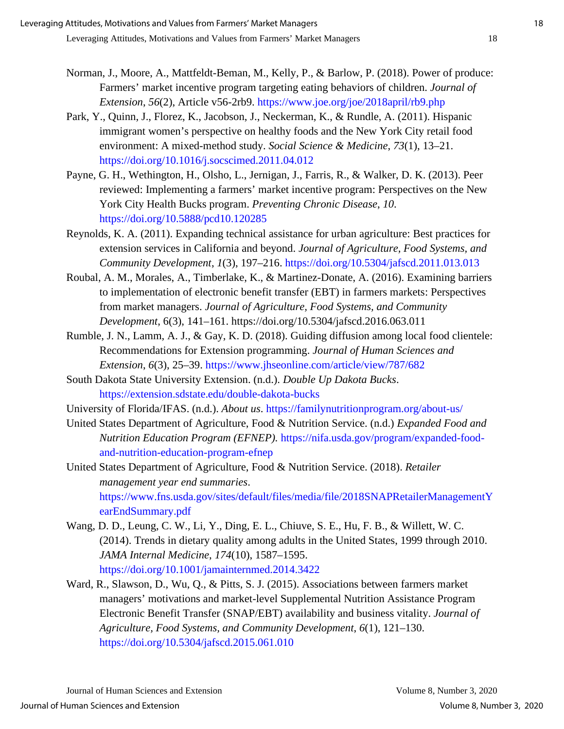- Norman, J., Moore, A., Mattfeldt-Beman, M., Kelly, P., & Barlow, P. (2018). Power of produce: Farmers' market incentive program targeting eating behaviors of children. *Journal of Extension*, *56*(2), Article v56-2rb9.<https://www.joe.org/joe/2018april/rb9.php>
- Park, Y., Quinn, J., Florez, K., Jacobson, J., Neckerman, K., & Rundle, A. (2011). Hispanic immigrant women's perspective on healthy foods and the New York City retail food environment: A mixed-method study. *Social Science & Medicine*, *73*(1), 13–21. <https://doi.org/10.1016/j.socscimed.2011.04.012>
- Payne, G. H., Wethington, H., Olsho, L., Jernigan, J., Farris, R., & Walker, D. K. (2013). Peer reviewed: Implementing a farmers' market incentive program: Perspectives on the New York City Health Bucks program. *Preventing Chronic Disease*, *10*. <https://doi.org/10.5888/pcd10.120285>
- Reynolds, K. A. (2011). Expanding technical assistance for urban agriculture: Best practices for extension services in California and beyond. *Journal of Agriculture, Food Systems, and Community Development*, *1*(3), 197–216.<https://doi.org/10.5304/jafscd.2011.013.013>
- Roubal, A. M., Morales, A., Timberlake, K., & Martinez-Donate, A. (2016). Examining barriers to implementation of electronic benefit transfer (EBT) in farmers markets: Perspectives from market managers. *Journal of Agriculture, Food Systems, and Community Development*, 6(3), 141–161. https://doi.org/10.5304/jafscd.2016.063.011
- Rumble, J. N., Lamm, A. J., & Gay, K. D. (2018). Guiding diffusion among local food clientele: Recommendations for Extension programming. *Journal of Human Sciences and Extension*, *6*(3), 25–39.<https://www.jhseonline.com/article/view/787/682>
- South Dakota State University Extension. (n.d.). *Double Up Dakota Bucks*. <https://extension.sdstate.edu/double-dakota-bucks>
- University of Florida/IFAS. (n.d.). *About us*.<https://familynutritionprogram.org/about-us/>
- United States Department of Agriculture, Food & Nutrition Service. (n.d.) *Expanded Food and Nutrition Education Program (EFNEP).* [https://nifa.usda.gov/program/expanded-food](https://nifa.usda.gov/program/expanded-food-and-nutrition-education-program-efnep)[and-nutrition-education-program-efnep](https://nifa.usda.gov/program/expanded-food-and-nutrition-education-program-efnep)

United States Department of Agriculture, Food & Nutrition Service. (2018). *Retailer management year end summaries*. [https://www.fns.usda.gov/sites/default/files/media/file/2018SNAPRetailerManagementY](https://www.fns.usda.gov/sites/default/files/media/file/2018SNAPRetailerManagementYearEndSummary.pdf) [earEndSummary.pdf](https://www.fns.usda.gov/sites/default/files/media/file/2018SNAPRetailerManagementYearEndSummary.pdf)

Wang, D. D., Leung, C. W., Li, Y., Ding, E. L., Chiuve, S. E., Hu, F. B., & Willett, W. C. (2014). Trends in dietary quality among adults in the United States, 1999 through 2010. *JAMA Internal Medicine*, *174*(10), 1587–1595. <https://doi.org/10.1001/jamainternmed.2014.3422>

Ward, R., Slawson, D., Wu, Q., & Pitts, S. J. (2015). Associations between farmers market managers' motivations and market-level Supplemental Nutrition Assistance Program Electronic Benefit Transfer (SNAP/EBT) availability and business vitality. *Journal of Agriculture, Food Systems, and Community Development*, *6*(1), 121–130. <https://doi.org/10.5304/jafscd.2015.061.010>